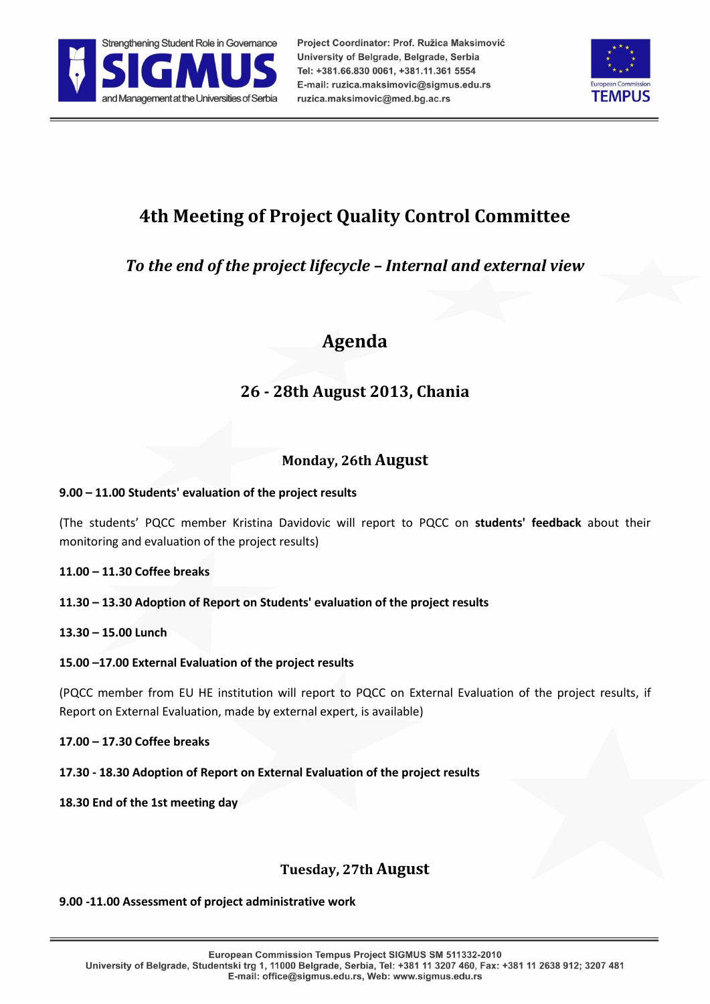

Project Coordinator: Prof. Ružica Maksimović University of Belgrade, Belgrade, Serbia Tel: +381.66.830 0061, +381.11.361 5554 E-mail: ruzica.maksimovic@sigmus.edu.rs ruzica.maksimovic@med.bg.ac.rs



# **4th Meeting of Project Quality Control Committee**

*To the end of the project lifecycle – Internal and external view*

## **Agenda**

## **26 - 28th August 2013, Chania**

## **Monday, 26th August**

### **9.00 – 11.00 Students' evaluation of the project results**

(The students' PQCC member Kristina Davidovic will report to PQCC on **students' feedback** about their monitoring and evaluation of the project results)

**11.00 – 11.30 Coffee breaks**

### **11.30 – 13.30 Adoption of Report on Students' evaluation of the project results**

### **13.30 – 15.00 Lunch**

### **15.00 –17.00 External Evaluation of the project results**

(PQCC member from EU HE institution will report to PQCC on External Evaluation of the project results, if Report on External Evaluation, made by external expert, is available)

**17.00 – 17.30 Coffee breaks**

**17.30 - 18.30 Adoption of Report on External Evaluation of the project results** 

**18.30 End of the 1st meeting day**

### **Tuesday, 27th August**

### **9.00 -11.00 Assessment of project administrative work**